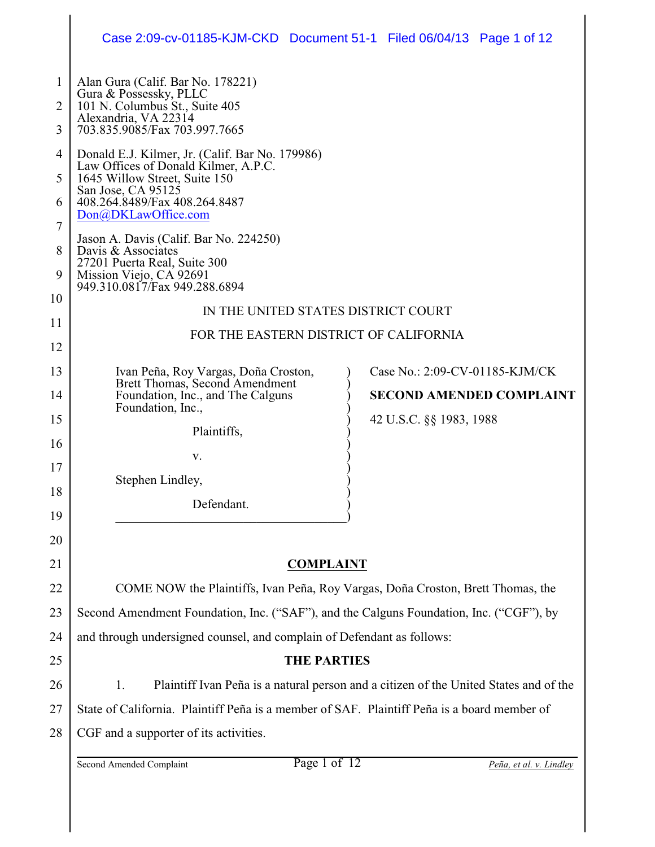|             | Case 2:09-cv-01185-KJM-CKD Document 51-1 Filed 06/04/13 Page 1 of 12                                                                                   |  |                                 |                         |  |  |  |
|-------------|--------------------------------------------------------------------------------------------------------------------------------------------------------|--|---------------------------------|-------------------------|--|--|--|
| 1<br>2<br>3 | Alan Gura (Calif. Bar No. 178221)<br>Gura & Possessky, PLLC<br>101 N. Columbus St., Suite 405<br>Alexandria, VA 22314<br>703.835.9085/Fax 703.997.7665 |  |                                 |                         |  |  |  |
| 4           | Donald E.J. Kilmer, Jr. (Calif. Bar No. 179986)                                                                                                        |  |                                 |                         |  |  |  |
| 5           | Law Offices of Donald Kilmer, A.P.C.<br>1645 Willow Street, Suite 150                                                                                  |  |                                 |                         |  |  |  |
| 6           | San Jose, CA 95125<br>408.264.8489/Fax 408.264.8487<br>Don@DKLawOffice.com                                                                             |  |                                 |                         |  |  |  |
| 7           |                                                                                                                                                        |  |                                 |                         |  |  |  |
| 8           | Jason A. Davis (Calif. Bar No. 224250)<br>Davis & Associates                                                                                           |  |                                 |                         |  |  |  |
| 9           | 27201 Puerta Real, Suite 300<br>Mission Viejo, CA 92691                                                                                                |  |                                 |                         |  |  |  |
| 10          | 949.310.0817/Fax 949.288.6894                                                                                                                          |  |                                 |                         |  |  |  |
| 11          | IN THE UNITED STATES DISTRICT COURT                                                                                                                    |  |                                 |                         |  |  |  |
| 12          | FOR THE EASTERN DISTRICT OF CALIFORNIA                                                                                                                 |  |                                 |                         |  |  |  |
| 13          | Ivan Peña, Roy Vargas, Doña Croston,                                                                                                                   |  | Case No.: 2:09-CV-01185-KJM/CK  |                         |  |  |  |
| 14          | Brett Thomas, Second Amendment<br>Foundation, Inc., and The Calguns                                                                                    |  | <b>SECOND AMENDED COMPLAINT</b> |                         |  |  |  |
| 15          | Foundation, Inc.,                                                                                                                                      |  | 42 U.S.C. §§ 1983, 1988         |                         |  |  |  |
|             | Plaintiffs,                                                                                                                                            |  |                                 |                         |  |  |  |
| 16          | v.                                                                                                                                                     |  |                                 |                         |  |  |  |
| 17          | Stephen Lindley,                                                                                                                                       |  |                                 |                         |  |  |  |
| 18          | Defendant.                                                                                                                                             |  |                                 |                         |  |  |  |
| 19          |                                                                                                                                                        |  |                                 |                         |  |  |  |
| 20          |                                                                                                                                                        |  |                                 |                         |  |  |  |
| 21          | <b>COMPLAINT</b>                                                                                                                                       |  |                                 |                         |  |  |  |
| 22          | COME NOW the Plaintiffs, Ivan Peña, Roy Vargas, Doña Croston, Brett Thomas, the                                                                        |  |                                 |                         |  |  |  |
| 23          | Second Amendment Foundation, Inc. ("SAF"), and the Calguns Foundation, Inc. ("CGF"), by                                                                |  |                                 |                         |  |  |  |
| 24          | and through undersigned counsel, and complain of Defendant as follows:                                                                                 |  |                                 |                         |  |  |  |
| 25          | <b>THE PARTIES</b>                                                                                                                                     |  |                                 |                         |  |  |  |
| 26          | Plaintiff Ivan Peña is a natural person and a citizen of the United States and of the<br>1.                                                            |  |                                 |                         |  |  |  |
| 27          | State of California. Plaintiff Peña is a member of SAF. Plaintiff Peña is a board member of                                                            |  |                                 |                         |  |  |  |
| 28          | CGF and a supporter of its activities.                                                                                                                 |  |                                 |                         |  |  |  |
|             | Page 1 of 12<br>Second Amended Complaint                                                                                                               |  |                                 | Peña, et al. v. Lindley |  |  |  |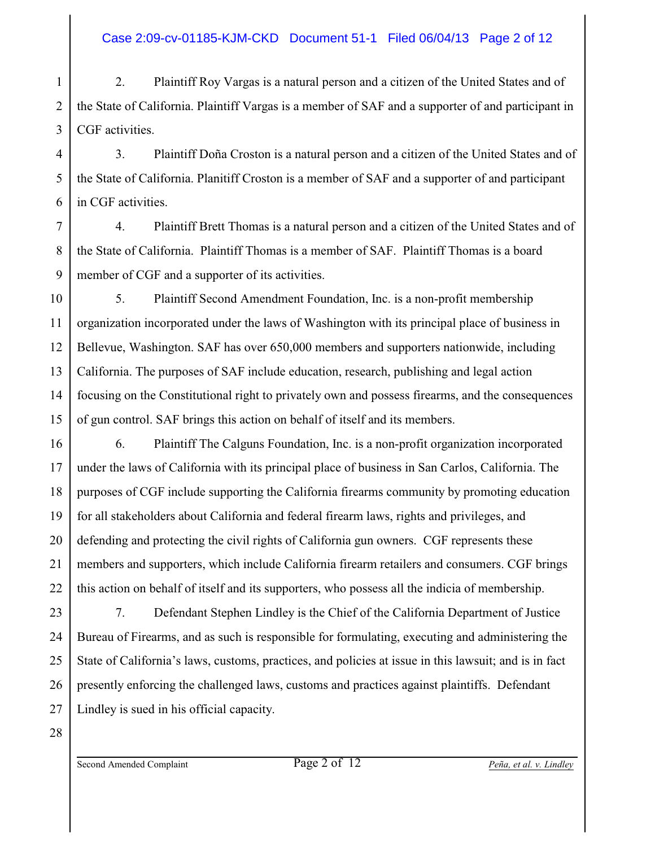1 2 3 2. Plaintiff Roy Vargas is a natural person and a citizen of the United States and of the State of California. Plaintiff Vargas is a member of SAF and a supporter of and participant in CGF activities.

4 3. Plaintiff Doña Croston is a natural person and a citizen of the United States and of the State of California. Planitiff Croston is a member of SAF and a supporter of and participant in CGF activities.

7 8 9 4. Plaintiff Brett Thomas is a natural person and a citizen of the United States and of the State of California. Plaintiff Thomas is a member of SAF. Plaintiff Thomas is a board member of CGF and a supporter of its activities.

10 11 12 13 14 15 5. Plaintiff Second Amendment Foundation, Inc. is a non-profit membership organization incorporated under the laws of Washington with its principal place of business in Bellevue, Washington. SAF has over 650,000 members and supporters nationwide, including California. The purposes of SAF include education, research, publishing and legal action focusing on the Constitutional right to privately own and possess firearms, and the consequences of gun control. SAF brings this action on behalf of itself and its members.

16 6. Plaintiff The Calguns Foundation, Inc. is a non-profit organization incorporated under the laws of California with its principal place of business in San Carlos, California. The purposes of CGF include supporting the California firearms community by promoting education for all stakeholders about California and federal firearm laws, rights and privileges, and defending and protecting the civil rights of California gun owners. CGF represents these members and supporters, which include California firearm retailers and consumers. CGF brings this action on behalf of itself and its supporters, who possess all the indicia of membership.

23 24 25 26 27 7. Defendant Stephen Lindley is the Chief of the California Department of Justice Bureau of Firearms, and as such is responsible for formulating, executing and administering the State of California's laws, customs, practices, and policies at issue in this lawsuit; and is in fact presently enforcing the challenged laws, customs and practices against plaintiffs. Defendant Lindley is sued in his official capacity.

28

17

18

19

20

21

22

5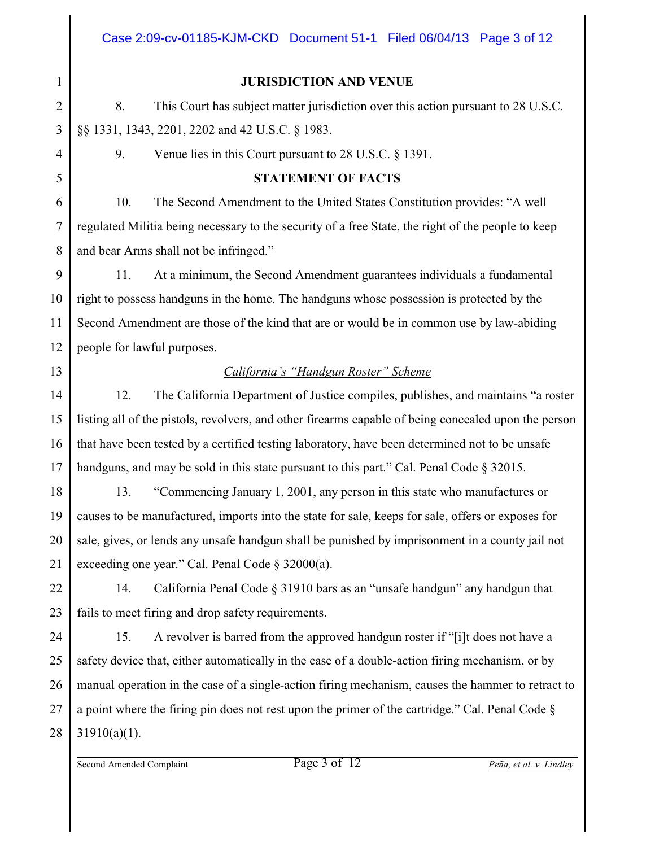#### **JURISDICTION AND VENUE**

8. This Court has subject matter jurisdiction over this action pursuant to 28 U.S.C. §§ 1331, 1343, 2201, 2202 and 42 U.S.C. § 1983.

9. Venue lies in this Court pursuant to 28 U.S.C. § 1391.

# **STATEMENT OF FACTS**

10. The Second Amendment to the United States Constitution provides: "A well regulated Militia being necessary to the security of a free State, the right of the people to keep and bear Arms shall not be infringed."

11. At a minimum, the Second Amendment guarantees individuals a fundamental right to possess handguns in the home. The handguns whose possession is protected by the Second Amendment are those of the kind that are or would be in common use by law-abiding people for lawful purposes.

# *California's "Handgun Roster" Scheme*

12. The California Department of Justice compiles, publishes, and maintains "a roster listing all of the pistols, revolvers, and other firearms capable of being concealed upon the person that have been tested by a certified testing laboratory, have been determined not to be unsafe handguns, and may be sold in this state pursuant to this part." Cal. Penal Code § 32015.

13. "Commencing January 1, 2001, any person in this state who manufactures or causes to be manufactured, imports into the state for sale, keeps for sale, offers or exposes for sale, gives, or lends any unsafe handgun shall be punished by imprisonment in a county jail not exceeding one year." Cal. Penal Code § 32000(a).

14. California Penal Code § 31910 bars as an "unsafe handgun" any handgun that fails to meet firing and drop safety requirements.

27 28 15. A revolver is barred from the approved handgun roster if "[i]t does not have a safety device that, either automatically in the case of a double-action firing mechanism, or by manual operation in the case of a single-action firing mechanism, causes the hammer to retract to a point where the firing pin does not rest upon the primer of the cartridge." Cal. Penal Code §  $31910(a)(1)$ .

Second Amended Complaint Page 3 of 12 *Peña, et al. v. Lindley*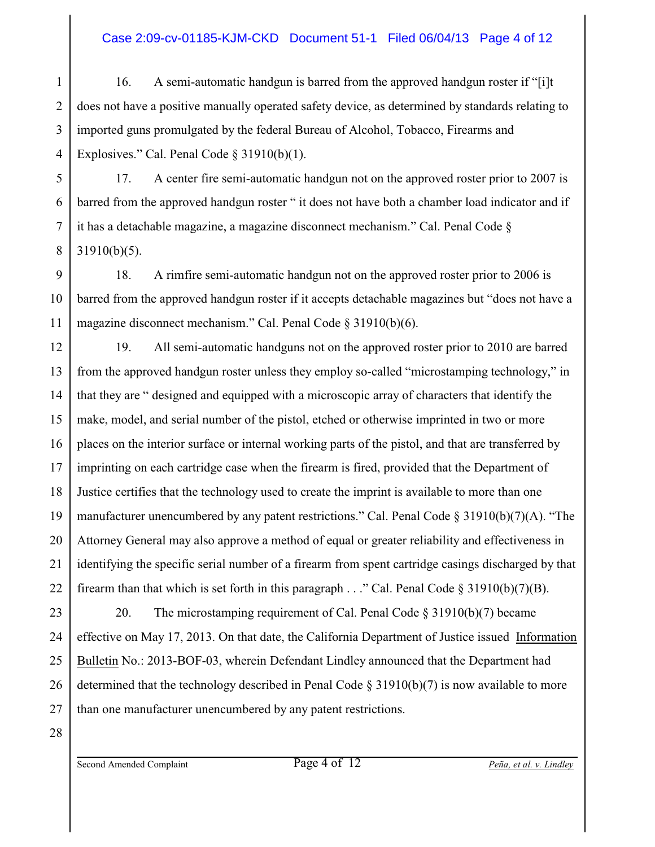#### Case 2:09-cv-01185-KJM-CKD Document 51-1 Filed 06/04/13 Page 4 of 12

1 2 3 4 16. A semi-automatic handgun is barred from the approved handgun roster if "[i]t does not have a positive manually operated safety device, as determined by standards relating to imported guns promulgated by the federal Bureau of Alcohol, Tobacco, Firearms and Explosives." Cal. Penal Code § 31910(b)(1).

5 6 17. A center fire semi-automatic handgun not on the approved roster prior to 2007 is barred from the approved handgun roster " it does not have both a chamber load indicator and if it has a detachable magazine, a magazine disconnect mechanism." Cal. Penal Code § 31910(b)(5).

9 18. A rimfire semi-automatic handgun not on the approved roster prior to 2006 is barred from the approved handgun roster if it accepts detachable magazines but "does not have a magazine disconnect mechanism." Cal. Penal Code § 31910(b)(6).

12 13 14 15 16 17 18 19 20 21 22 19. All semi-automatic handguns not on the approved roster prior to 2010 are barred from the approved handgun roster unless they employ so-called "microstamping technology," in that they are " designed and equipped with a microscopic array of characters that identify the make, model, and serial number of the pistol, etched or otherwise imprinted in two or more places on the interior surface or internal working parts of the pistol, and that are transferred by imprinting on each cartridge case when the firearm is fired, provided that the Department of Justice certifies that the technology used to create the imprint is available to more than one manufacturer unencumbered by any patent restrictions." Cal. Penal Code  $\S 31910(b)(7)(A)$ . "The Attorney General may also approve a method of equal or greater reliability and effectiveness in identifying the specific serial number of a firearm from spent cartridge casings discharged by that firearm than that which is set forth in this paragraph  $\ldots$ " Cal. Penal Code § 31910(b)(7)(B).

23 24 25 26 27 20. The microstamping requirement of Cal. Penal Code § 31910(b)(7) became effective on May 17, 2013. On that date, the California Department of Justice issued Information Bulletin No.: 2013-BOF-03, wherein Defendant Lindley announced that the Department had determined that the technology described in Penal Code § 31910(b)(7) is now available to more than one manufacturer unencumbered by any patent restrictions.

28

7

8

10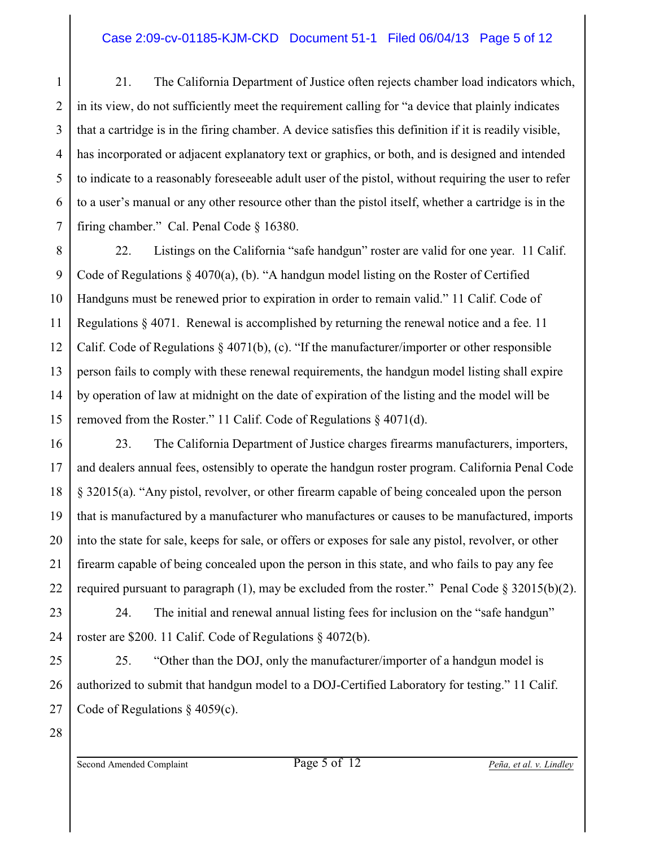## Case 2:09-cv-01185-KJM-CKD Document 51-1 Filed 06/04/13 Page 5 of 12

1 2 3 4 5 6 7 21. The California Department of Justice often rejects chamber load indicators which, in its view, do not sufficiently meet the requirement calling for "a device that plainly indicates that a cartridge is in the firing chamber. A device satisfies this definition if it is readily visible, has incorporated or adjacent explanatory text or graphics, or both, and is designed and intended to indicate to a reasonably foreseeable adult user of the pistol, without requiring the user to refer to a user's manual or any other resource other than the pistol itself, whether a cartridge is in the firing chamber." Cal. Penal Code § 16380.

8 9 10 11 12 13 14 15 22. Listings on the California "safe handgun" roster are valid for one year. 11 Calif. Code of Regulations § 4070(a), (b). "A handgun model listing on the Roster of Certified Handguns must be renewed prior to expiration in order to remain valid." 11 Calif. Code of Regulations § 4071. Renewal is accomplished by returning the renewal notice and a fee. 11 Calif. Code of Regulations § 4071(b), (c). "If the manufacturer/importer or other responsible person fails to comply with these renewal requirements, the handgun model listing shall expire by operation of law at midnight on the date of expiration of the listing and the model will be removed from the Roster." 11 Calif. Code of Regulations § 4071(d).

16 18 23. The California Department of Justice charges firearms manufacturers, importers, and dealers annual fees, ostensibly to operate the handgun roster program. California Penal Code § 32015(a). "Any pistol, revolver, or other firearm capable of being concealed upon the person that is manufactured by a manufacturer who manufactures or causes to be manufactured, imports into the state for sale, keeps for sale, or offers or exposes for sale any pistol, revolver, or other firearm capable of being concealed upon the person in this state, and who fails to pay any fee required pursuant to paragraph (1), may be excluded from the roster." Penal Code  $\S 32015(b)(2)$ .

24. The initial and renewal annual listing fees for inclusion on the "safe handgun" roster are \$200. 11 Calif. Code of Regulations § 4072(b).

25. "Other than the DOJ, only the manufacturer/importer of a handgun model is authorized to submit that handgun model to a DOJ-Certified Laboratory for testing." 11 Calif. Code of Regulations § 4059(c).

28

17

19

20

21

22

23

24

25

26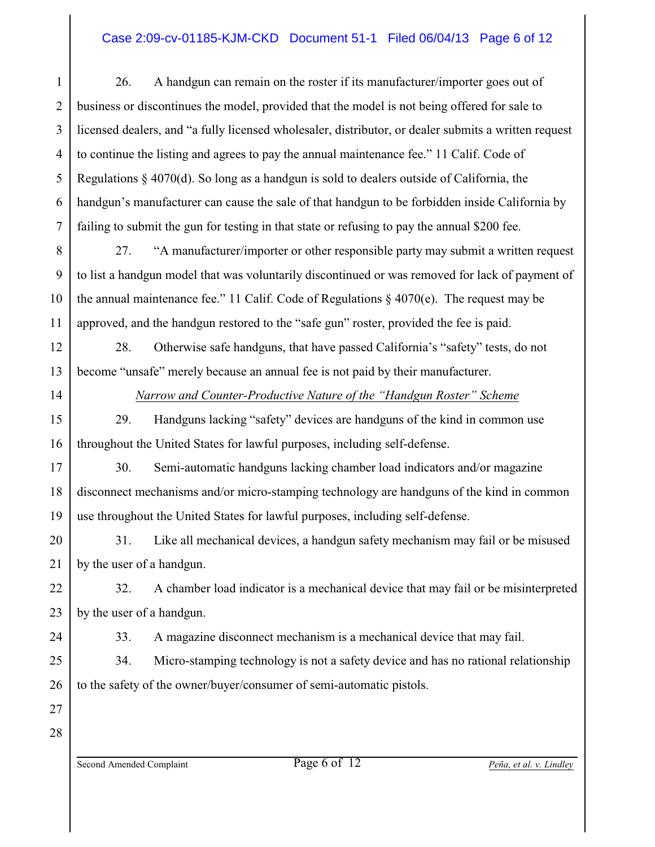#### Case 2:09-cv-01185-KJM-CKD Document 51-1 Filed 06/04/13 Page 6 of 12

1 2 3 4 5 6 7 26. A handgun can remain on the roster if its manufacturer/importer goes out of business or discontinues the model, provided that the model is not being offered for sale to licensed dealers, and "a fully licensed wholesaler, distributor, or dealer submits a written request to continue the listing and agrees to pay the annual maintenance fee." 11 Calif. Code of Regulations § 4070(d). So long as a handgun is sold to dealers outside of California, the handgun's manufacturer can cause the sale of that handgun to be forbidden inside California by failing to submit the gun for testing in that state or refusing to pay the annual \$200 fee.

8 9 10 11 27. "A manufacturer/importer or other responsible party may submit a written request to list a handgun model that was voluntarily discontinued or was removed for lack of payment of the annual maintenance fee." 11 Calif. Code of Regulations  $\S$  4070(e). The request may be approved, and the handgun restored to the "safe gun" roster, provided the fee is paid.

28. Otherwise safe handguns, that have passed California's "safety" tests, do not become "unsafe" merely because an annual fee is not paid by their manufacturer.

12

13

14

15

16

17

18

19

*Narrow and Counter-Productive Nature of the "Handgun Roster" Scheme*

29. Handguns lacking "safety" devices are handguns of the kind in common use throughout the United States for lawful purposes, including self-defense.

30. Semi-automatic handguns lacking chamber load indicators and/or magazine disconnect mechanisms and/or micro-stamping technology are handguns of the kind in common use throughout the United States for lawful purposes, including self-defense.

20 21 31. Like all mechanical devices, a handgun safety mechanism may fail or be misused by the user of a handgun.

22 23 32. A chamber load indicator is a mechanical device that may fail or be misinterpreted by the user of a handgun.

33. A magazine disconnect mechanism is a mechanical device that may fail.

34. Micro-stamping technology is not a safety device and has no rational relationship to the safety of the owner/buyer/consumer of semi-automatic pistols.

27 28

24

25

26

Second Amended Complaint Page 6 of 12 *Peña, et al. v. Lindley*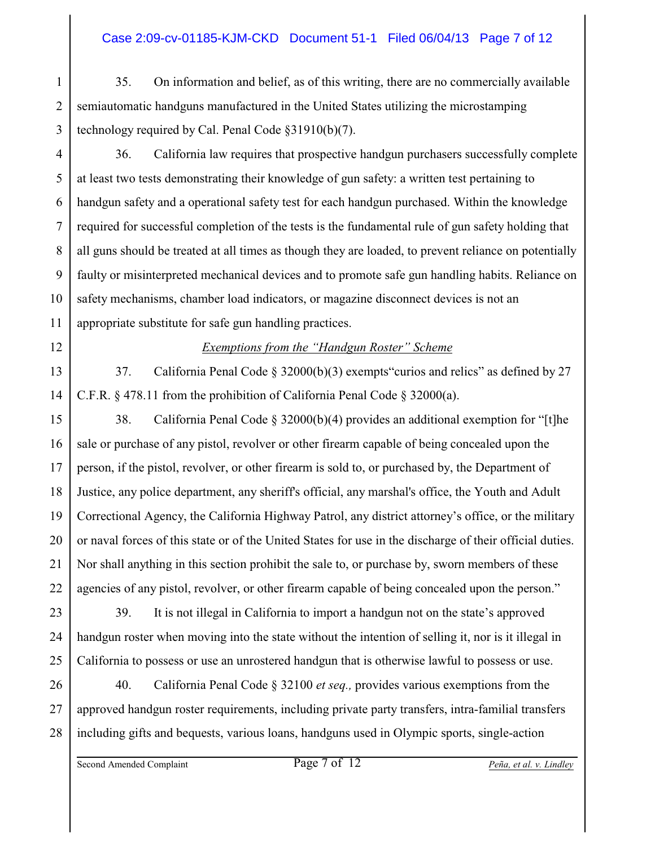#### Case 2:09-cv-01185-KJM-CKD Document 51-1 Filed 06/04/13 Page 7 of 12

1 2 3 35. On information and belief, as of this writing, there are no commercially available semiautomatic handguns manufactured in the United States utilizing the microstamping technology required by Cal. Penal Code §31910(b)(7).

4 5 6 7 8 9 10 11 36. California law requires that prospective handgun purchasers successfully complete at least two tests demonstrating their knowledge of gun safety: a written test pertaining to handgun safety and a operational safety test for each handgun purchased. Within the knowledge required for successful completion of the tests is the fundamental rule of gun safety holding that all guns should be treated at all times as though they are loaded, to prevent reliance on potentially faulty or misinterpreted mechanical devices and to promote safe gun handling habits. Reliance on safety mechanisms, chamber load indicators, or magazine disconnect devices is not an appropriate substitute for safe gun handling practices.

## *Exemptions from the "Handgun Roster" Scheme*

14 37. California Penal Code § 32000(b)(3) exempts"curios and relics" as defined by 27 C.F.R. § 478.11 from the prohibition of California Penal Code § 32000(a).

15 16 17 18 19 20 21 22 38. California Penal Code § 32000(b)(4) provides an additional exemption for "[t]he sale or purchase of any pistol, revolver or other firearm capable of being concealed upon the person, if the pistol, revolver, or other firearm is sold to, or purchased by, the Department of Justice, any police department, any sheriff's official, any marshal's office, the Youth and Adult Correctional Agency, the California Highway Patrol, any district attorney's office, or the military or naval forces of this state or of the United States for use in the discharge of their official duties. Nor shall anything in this section prohibit the sale to, or purchase by, sworn members of these agencies of any pistol, revolver, or other firearm capable of being concealed upon the person."

23 24 25 39. It is not illegal in California to import a handgun not on the state's approved handgun roster when moving into the state without the intention of selling it, nor is it illegal in California to possess or use an unrostered handgun that is otherwise lawful to possess or use.

26 27 28 40. California Penal Code § 32100 *et seq.,* provides various exemptions from the approved handgun roster requirements, including private party transfers, intra-familial transfers including gifts and bequests, various loans, handguns used in Olympic sports, single-action

Second Amended Complaint Page 7 of 12 *Peña, et al. v. Lindley*

12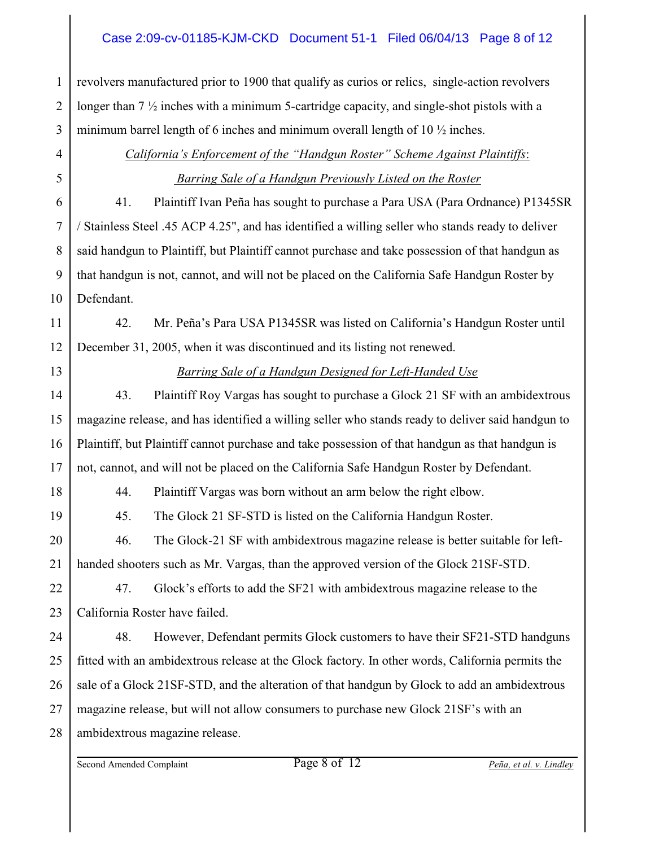#### Case 2:09-cv-01185-KJM-CKD Document 51-1 Filed 06/04/13 Page 8 of 12

revolvers manufactured prior to 1900 that qualify as curios or relics, single-action revolvers longer than 7 ½ inches with a minimum 5-cartridge capacity, and single-shot pistols with a minimum barrel length of 6 inches and minimum overall length of 10  $\frac{1}{2}$  inches.

# 4 5 6

7

8

9

10

1

2

3

*California's Enforcement of the "Handgun Roster" Scheme Against Plaintiffs*:  *Barring Sale of a Handgun Previously Listed on the Roster*

41. Plaintiff Ivan Peña has sought to purchase a Para USA (Para Ordnance) P1345SR / Stainless Steel .45 ACP 4.25", and has identified a willing seller who stands ready to deliver said handgun to Plaintiff, but Plaintiff cannot purchase and take possession of that handgun as that handgun is not, cannot, and will not be placed on the California Safe Handgun Roster by Defendant.

11 12 42. Mr. Peña's Para USA P1345SR was listed on California's Handgun Roster until December 31, 2005, when it was discontinued and its listing not renewed.

13

14

15

16

17

19

20

21

## *Barring Sale of a Handgun Designed for Left-Handed Use*

43. Plaintiff Roy Vargas has sought to purchase a Glock 21 SF with an ambidextrous magazine release, and has identified a willing seller who stands ready to deliver said handgun to Plaintiff, but Plaintiff cannot purchase and take possession of that handgun as that handgun is not, cannot, and will not be placed on the California Safe Handgun Roster by Defendant.

18

44. Plaintiff Vargas was born without an arm below the right elbow.

45. The Glock 21 SF-STD is listed on the California Handgun Roster.

46. The Glock-21 SF with ambidextrous magazine release is better suitable for lefthanded shooters such as Mr. Vargas, than the approved version of the Glock 21SF-STD.

22 23 47. Glock's efforts to add the SF21 with ambidextrous magazine release to the California Roster have failed.

24 25 26 27 28 48. However, Defendant permits Glock customers to have their SF21-STD handguns fitted with an ambidextrous release at the Glock factory. In other words, California permits the sale of a Glock 21SF-STD, and the alteration of that handgun by Glock to add an ambidextrous magazine release, but will not allow consumers to purchase new Glock 21SF's with an ambidextrous magazine release.

Second Amended Complaint Page 8 of 12 *Peña, et al. v. Lindley*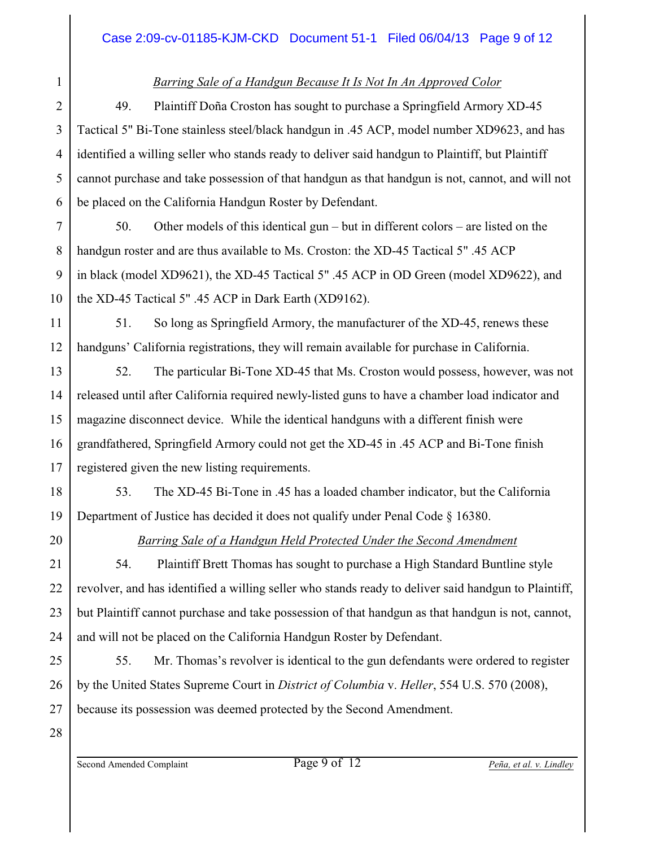# *Barring Sale of a Handgun Because It Is Not In An Approved Color*

49. Plaintiff Doña Croston has sought to purchase a Springfield Armory XD-45 Tactical 5" Bi-Tone stainless steel/black handgun in .45 ACP, model number XD9623, and has identified a willing seller who stands ready to deliver said handgun to Plaintiff, but Plaintiff cannot purchase and take possession of that handgun as that handgun is not, cannot, and will not be placed on the California Handgun Roster by Defendant.

7 8 9 10 50. Other models of this identical gun – but in different colors – are listed on the handgun roster and are thus available to Ms. Croston: the XD-45 Tactical 5" .45 ACP in black (model XD9621), the XD-45 Tactical 5" .45 ACP in OD Green (model XD9622), and the XD-45 Tactical 5" .45 ACP in Dark Earth (XD9162).

51. So long as Springfield Armory, the manufacturer of the XD-45, renews these handguns' California registrations, they will remain available for purchase in California.

13 14 15 16 52. The particular Bi-Tone XD-45 that Ms. Croston would possess, however, was not released until after California required newly-listed guns to have a chamber load indicator and magazine disconnect device. While the identical handguns with a different finish were grandfathered, Springfield Armory could not get the XD-45 in .45 ACP and Bi-Tone finish registered given the new listing requirements.

53. The XD-45 Bi-Tone in .45 has a loaded chamber indicator, but the California Department of Justice has decided it does not qualify under Penal Code § 16380.

1

2

3

4

5

6

11

12

17

18

19

20

21

22

23

24

25

26

# *Barring Sale of a Handgun Held Protected Under the Second Amendment*

54. Plaintiff Brett Thomas has sought to purchase a High Standard Buntline style revolver, and has identified a willing seller who stands ready to deliver said handgun to Plaintiff, but Plaintiff cannot purchase and take possession of that handgun as that handgun is not, cannot, and will not be placed on the California Handgun Roster by Defendant.

55. Mr. Thomas's revolver is identical to the gun defendants were ordered to register by the United States Supreme Court in *District of Columbia* v. *Heller*, 554 U.S. 570 (2008), because its possession was deemed protected by the Second Amendment.

28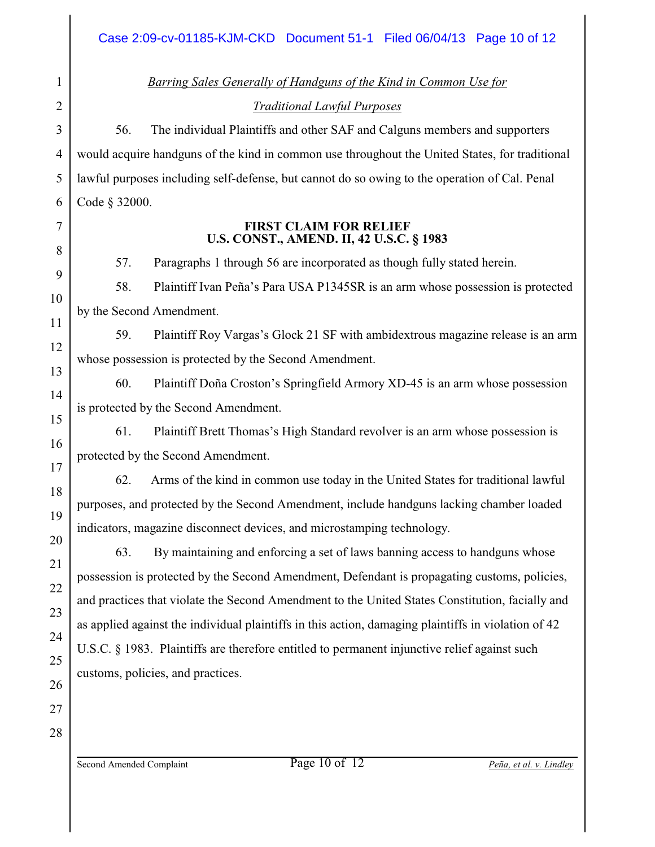*Barring Sales Generally of Handguns of the Kind in Common Use for Traditional Lawful Purposes*

56. The individual Plaintiffs and other SAF and Calguns members and supporters would acquire handguns of the kind in common use throughout the United States, for traditional lawful purposes including self-defense, but cannot do so owing to the operation of Cal. Penal Code § 32000.

#### **FIRST CLAIM FOR RELIEF U.S. CONST., AMEND. II, 42 U.S.C. § 1983**

57. Paragraphs 1 through 56 are incorporated as though fully stated herein.

58. Plaintiff Ivan Peña's Para USA P1345SR is an arm whose possession is protected by the Second Amendment.

59. Plaintiff Roy Vargas's Glock 21 SF with ambidextrous magazine release is an arm whose possession is protected by the Second Amendment.

60. Plaintiff Doña Croston's Springfield Armory XD-45 is an arm whose possession is protected by the Second Amendment.

61. Plaintiff Brett Thomas's High Standard revolver is an arm whose possession is protected by the Second Amendment.

62. Arms of the kind in common use today in the United States for traditional lawful purposes, and protected by the Second Amendment, include handguns lacking chamber loaded indicators, magazine disconnect devices, and microstamping technology.

63. By maintaining and enforcing a set of laws banning access to handguns whose possession is protected by the Second Amendment, Defendant is propagating customs, policies, and practices that violate the Second Amendment to the United States Constitution, facially and as applied against the individual plaintiffs in this action, damaging plaintiffs in violation of 42 U.S.C. § 1983. Plaintiffs are therefore entitled to permanent injunctive relief against such customs, policies, and practices.

1

2

3

4

5

6

7

8

9

10

11

12

13

14

15

16

17

18

19

Second Amended Complaint Page 10 of 12 *Peña, et al. v. Lindley*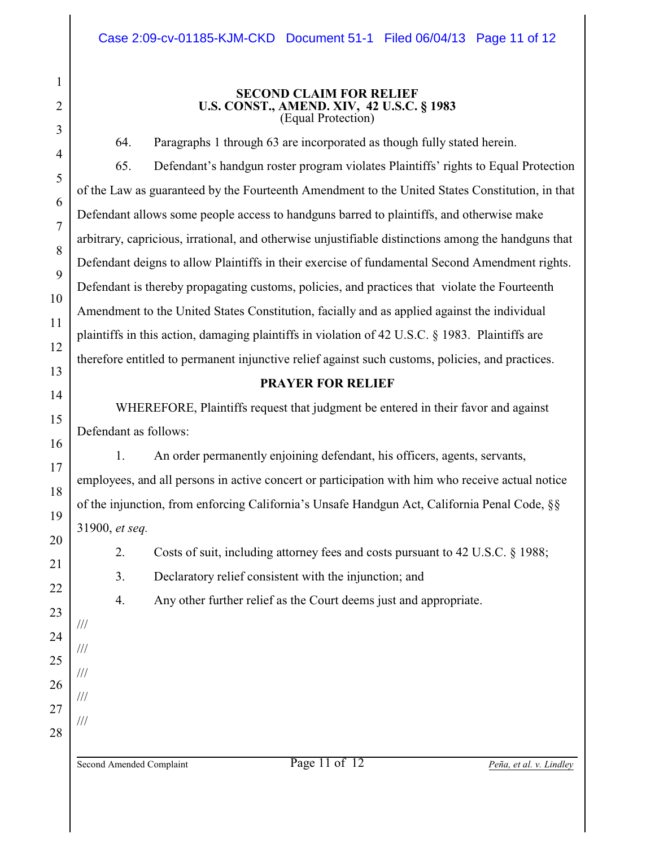#### **SECOND CLAIM FOR RELIEF U.S. CONST., AMEND. XIV, 42 U.S.C. § 1983** (Equal Protection)

64. Paragraphs 1 through 63 are incorporated as though fully stated herein.

65. Defendant's handgun roster program violates Plaintiffs' rights to Equal Protection of the Law as guaranteed by the Fourteenth Amendment to the United States Constitution, in that Defendant allows some people access to handguns barred to plaintiffs, and otherwise make arbitrary, capricious, irrational, and otherwise unjustifiable distinctions among the handguns that Defendant deigns to allow Plaintiffs in their exercise of fundamental Second Amendment rights. Defendant is thereby propagating customs, policies, and practices that violate the Fourteenth Amendment to the United States Constitution, facially and as applied against the individual plaintiffs in this action, damaging plaintiffs in violation of 42 U.S.C. § 1983. Plaintiffs are therefore entitled to permanent injunctive relief against such customs, policies, and practices.

#### **PRAYER FOR RELIEF**

WHEREFORE, Plaintiffs request that judgment be entered in their favor and against Defendant as follows:

1. An order permanently enjoining defendant, his officers, agents, servants, employees, and all persons in active concert or participation with him who receive actual notice of the injunction, from enforcing California's Unsafe Handgun Act, California Penal Code, §§ 31900, *et seq.*

2. Costs of suit, including attorney fees and costs pursuant to 42 U.S.C. § 1988;

3. Declaratory relief consistent with the injunction; and

4. Any other further relief as the Court deems just and appropriate.

Second Amended Complaint Page 11 of 12 *Peña, et al. v. Lindley*

///

///

///

///

///